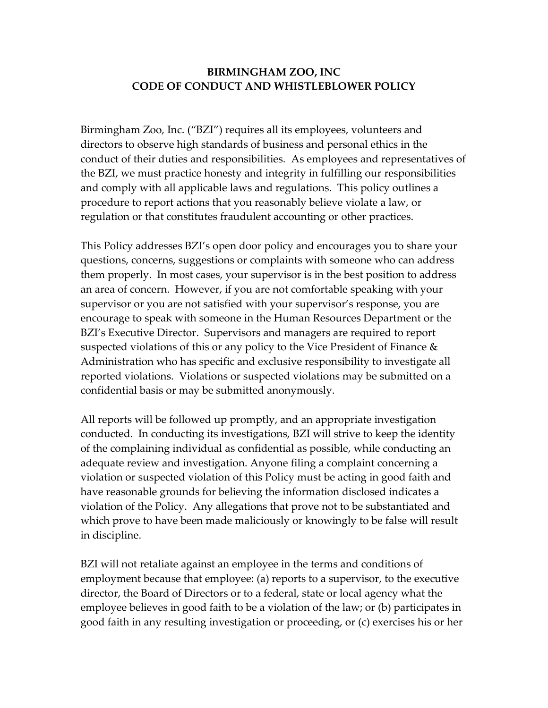## **BIRMINGHAM ZOO, INC CODE OF CONDUCT AND WHISTLEBLOWER POLICY**

Birmingham Zoo, Inc. ("BZI") requires all its employees, volunteers and directors to observe high standards of business and personal ethics in the conduct of their duties and responsibilities. As employees and representatives of the BZI, we must practice honesty and integrity in fulfilling our responsibilities and comply with all applicable laws and regulations. This policy outlines a procedure to report actions that you reasonably believe violate a law, or regulation or that constitutes fraudulent accounting or other practices.

This Policy addresses BZI's open door policy and encourages you to share your questions, concerns, suggestions or complaints with someone who can address them properly. In most cases, your supervisor is in the best position to address an area of concern. However, if you are not comfortable speaking with your supervisor or you are not satisfied with your supervisor's response, you are encourage to speak with someone in the Human Resources Department or the BZI's Executive Director. Supervisors and managers are required to report suspected violations of this or any policy to the Vice President of Finance & Administration who has specific and exclusive responsibility to investigate all reported violations. Violations or suspected violations may be submitted on a confidential basis or may be submitted anonymously.

All reports will be followed up promptly, and an appropriate investigation conducted. In conducting its investigations, BZI will strive to keep the identity of the complaining individual as confidential as possible, while conducting an adequate review and investigation. Anyone filing a complaint concerning a violation or suspected violation of this Policy must be acting in good faith and have reasonable grounds for believing the information disclosed indicates a violation of the Policy. Any allegations that prove not to be substantiated and which prove to have been made maliciously or knowingly to be false will result in discipline.

BZI will not retaliate against an employee in the terms and conditions of employment because that employee: (a) reports to a supervisor, to the executive director, the Board of Directors or to a federal, state or local agency what the employee believes in good faith to be a violation of the law; or (b) participates in good faith in any resulting investigation or proceeding, or (c) exercises his or her